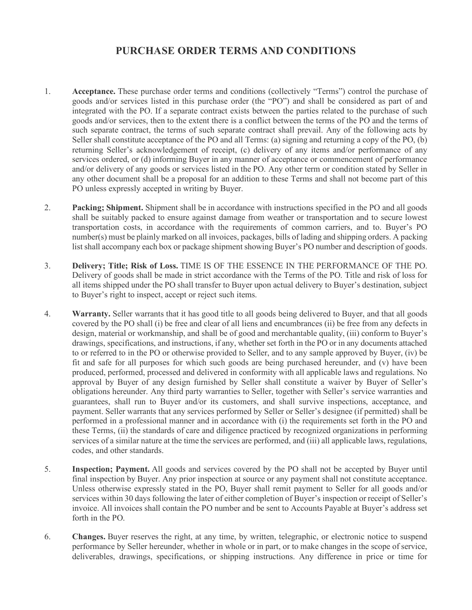## **PURCHASE ORDER TERMS AND CONDITIONS**

- 1. **Acceptance.** These purchase order terms and conditions (collectively "Terms") control the purchase of goods and/or services listed in this purchase order (the "PO") and shall be considered as part of and integrated with the PO. If a separate contract exists between the parties related to the purchase of such goods and/or services, then to the extent there is a conflict between the terms of the PO and the terms of such separate contract, the terms of such separate contract shall prevail. Any of the following acts by Seller shall constitute acceptance of the PO and all Terms: (a) signing and returning a copy of the PO, (b) returning Seller's acknowledgement of receipt, (c) delivery of any items and/or performance of any services ordered, or (d) informing Buyer in any manner of acceptance or commencement of performance and/or delivery of any goods or services listed in the PO. Any other term or condition stated by Seller in any other document shall be a proposal for an addition to these Terms and shall not become part of this PO unless expressly accepted in writing by Buyer.
- 2. **Packing; Shipment.** Shipment shall be in accordance with instructions specified in the PO and all goods shall be suitably packed to ensure against damage from weather or transportation and to secure lowest transportation costs, in accordance with the requirements of common carriers, and to. Buyer's PO number(s) must be plainly marked on all invoices, packages, bills of lading and shipping orders. A packing list shall accompany each box or package shipment showing Buyer's PO number and description of goods.
- 3. **Delivery; Title; Risk of Loss.** TIME IS OF THE ESSENCE IN THE PERFORMANCE OF THE PO. Delivery of goods shall be made in strict accordance with the Terms of the PO. Title and risk of loss for all items shipped under the PO shall transfer to Buyer upon actual delivery to Buyer's destination, subject to Buyer's right to inspect, accept or reject such items.
- 4. **Warranty.** Seller warrants that it has good title to all goods being delivered to Buyer, and that all goods covered by the PO shall (i) be free and clear of all liens and encumbrances (ii) be free from any defects in design, material or workmanship, and shall be of good and merchantable quality, (iii) conform to Buyer's drawings, specifications, and instructions, if any, whether set forth in the PO or in any documents attached to or referred to in the PO or otherwise provided to Seller, and to any sample approved by Buyer, (iv) be fit and safe for all purposes for which such goods are being purchased hereunder, and (v) have been produced, performed, processed and delivered in conformity with all applicable laws and regulations. No approval by Buyer of any design furnished by Seller shall constitute a waiver by Buyer of Seller's obligations hereunder. Any third party warranties to Seller, together with Seller's service warranties and guarantees, shall run to Buyer and/or its customers, and shall survive inspections, acceptance, and payment. Seller warrants that any services performed by Seller or Seller's designee (if permitted) shall be performed in a professional manner and in accordance with (i) the requirements set forth in the PO and these Terms, (ii) the standards of care and diligence practiced by recognized organizations in performing services of a similar nature at the time the services are performed, and (iii) all applicable laws, regulations, codes, and other standards.
- 5. **Inspection; Payment.** All goods and services covered by the PO shall not be accepted by Buyer until final inspection by Buyer. Any prior inspection at source or any payment shall not constitute acceptance. Unless otherwise expressly stated in the PO, Buyer shall remit payment to Seller for all goods and/or services within 30 days following the later of either completion of Buyer's inspection or receipt of Seller's invoice. All invoices shall contain the PO number and be sent to Accounts Payable at Buyer's address set forth in the PO.
- 6. **Changes.** Buyer reserves the right, at any time, by written, telegraphic, or electronic notice to suspend performance by Seller hereunder, whether in whole or in part, or to make changes in the scope of service, deliverables, drawings, specifications, or shipping instructions. Any difference in price or time for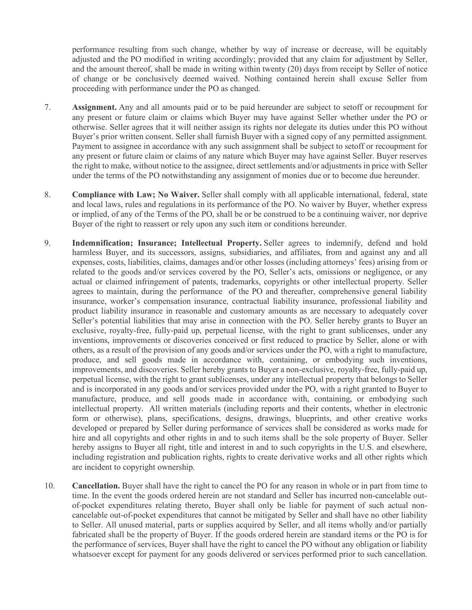performance resulting from such change, whether by way of increase or decrease, will be equitably adjusted and the PO modified in writing accordingly; provided that any claim for adjustment by Seller, and the amount thereof, shall be made in writing within twenty (20) days from receipt by Seller of notice of change or be conclusively deemed waived. Nothing contained herein shall excuse Seller from proceeding with performance under the PO as changed.

- 7. **Assignment.** Any and all amounts paid or to be paid hereunder are subject to setoff or recoupment for any present or future claim or claims which Buyer may have against Seller whether under the PO or otherwise. Seller agrees that it will neither assign its rights nor delegate its duties under this PO without Buyer's prior written consent. Seller shall furnish Buyer with a signed copy of any permitted assignment. Payment to assignee in accordance with any such assignment shall be subject to setoff or recoupment for any present or future claim or claims of any nature which Buyer may have against Seller. Buyer reserves the right to make, without notice to the assignee, direct settlements and/or adjustments in price with Seller under the terms of the PO notwithstanding any assignment of monies due or to become due hereunder.
- 8. **Compliance with Law; No Waiver.** Seller shall comply with all applicable international, federal, state and local laws, rules and regulations in its performance of the PO. No waiver by Buyer, whether express or implied, of any of the Terms of the PO, shall be or be construed to be a continuing waiver, nor deprive Buyer of the right to reassert or rely upon any such item or conditions hereunder.
- 9. **Indemnification; Insurance; Intellectual Property.** Seller agrees to indemnify, defend and hold harmless Buyer, and its successors, assigns, subsidiaries, and affiliates, from and against any and all expenses, costs, liabilities, claims, damages and/or other losses (including attorneys' fees) arising from or related to the goods and/or services covered by the PO, Seller's acts, omissions or negligence, or any actual or claimed infringement of patents, trademarks, copyrights or other intellectual property. Seller agrees to maintain, during the performance of the PO and thereafter, comprehensive general liability insurance, worker's compensation insurance, contractual liability insurance, professional liability and product liability insurance in reasonable and customary amounts as are necessary to adequately cover Seller's potential liabilities that may arise in connection with the PO. Seller hereby grants to Buyer an exclusive, royalty-free, fully-paid up, perpetual license, with the right to grant sublicenses, under any inventions, improvements or discoveries conceived or first reduced to practice by Seller, alone or with others, as a result of the provision of any goods and/or services under the PO, with a right to manufacture, produce, and sell goods made in accordance with, containing, or embodying such inventions, improvements, and discoveries. Seller hereby grants to Buyer a non-exclusive, royalty-free, fully-paid up, perpetual license, with the right to grant sublicenses, under any intellectual property that belongs to Seller and is incorporated in any goods and/or services provided under the PO, with a right granted to Buyer to manufacture, produce, and sell goods made in accordance with, containing, or embodying such intellectual property. All written materials (including reports and their contents, whether in electronic form or otherwise), plans, specifications, designs, drawings, blueprints, and other creative works developed or prepared by Seller during performance of services shall be considered as works made for hire and all copyrights and other rights in and to such items shall be the sole property of Buyer. Seller hereby assigns to Buyer all right, title and interest in and to such copyrights in the U.S. and elsewhere, including registration and publication rights, rights to create derivative works and all other rights which are incident to copyright ownership.
- 10. **Cancellation.** Buyer shall have the right to cancel the PO for any reason in whole or in part from time to time. In the event the goods ordered herein are not standard and Seller has incurred non-cancelable outof-pocket expenditures relating thereto, Buyer shall only be liable for payment of such actual noncancelable out-of-pocket expenditures that cannot be mitigated by Seller and shall have no other liability to Seller. All unused material, parts or supplies acquired by Seller, and all items wholly and/or partially fabricated shall be the property of Buyer. If the goods ordered herein are standard items or the PO is for the performance of services, Buyer shall have the right to cancel the PO without any obligation or liability whatsoever except for payment for any goods delivered or services performed prior to such cancellation.